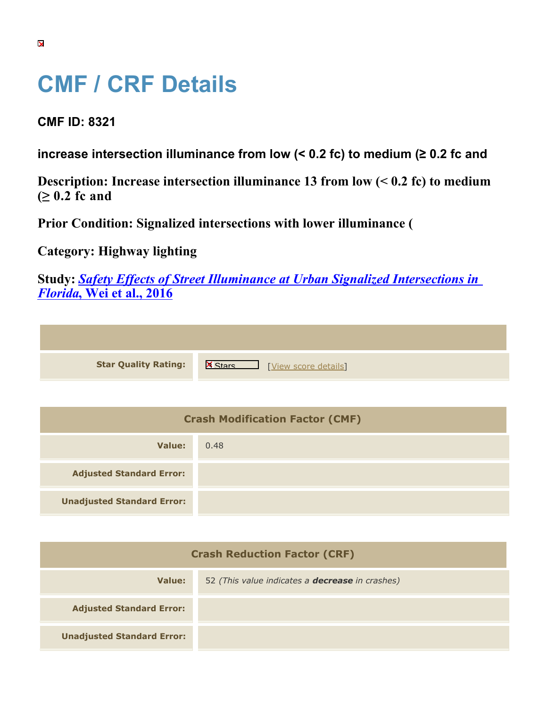## **CMF / CRF Details**

**CMF ID: 8321**

**increase intersection illuminance from low (< 0.2 fc) to medium (≥ 0.2 fc and** 

**Description: Increase intersection illuminance 13 from low (< 0.2 fc) to medium (≥ 0.2 fc and** 

**Prior Condition: Signalized intersections with lower illuminance (**

**Category: Highway lighting**

**Study:** *[Safety Effects of Street Illuminance at Urban Signalized Intersections in](https://cmfclearinghouse.org/study_detail.cfm?stid=462) [Florida](https://cmfclearinghouse.org/study_detail.cfm?stid=462)***[, Wei et al., 2016](https://cmfclearinghouse.org/study_detail.cfm?stid=462)**

**Star Quality Rating:** X Materials Number 2016 [[View score details](https://cmfclearinghouse.org/score_details.cfm?facid=8321)]

| <b>Crash Modification Factor (CMF)</b> |      |
|----------------------------------------|------|
| Value:                                 | 0.48 |
| <b>Adjusted Standard Error:</b>        |      |
| <b>Unadjusted Standard Error:</b>      |      |

| <b>Crash Reduction Factor (CRF)</b> |                                                        |
|-------------------------------------|--------------------------------------------------------|
| Value:                              | 52 (This value indicates a <b>decrease</b> in crashes) |
| <b>Adjusted Standard Error:</b>     |                                                        |
| <b>Unadjusted Standard Error:</b>   |                                                        |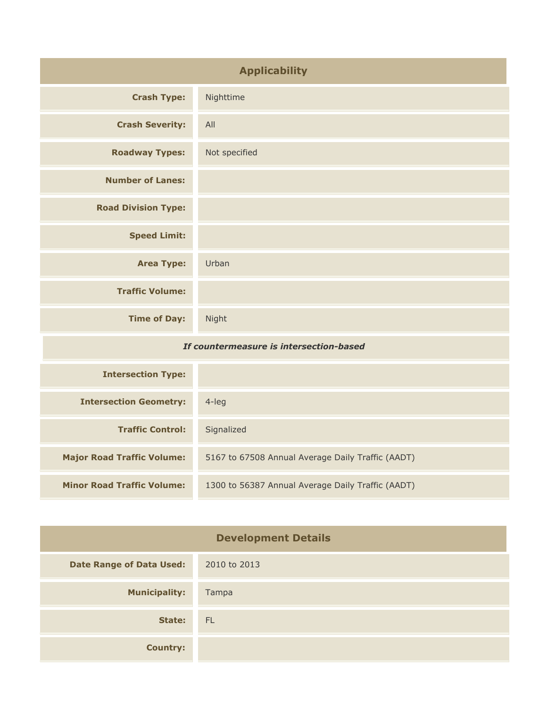| <b>Applicability</b>                    |               |
|-----------------------------------------|---------------|
| <b>Crash Type:</b>                      | Nighttime     |
| <b>Crash Severity:</b>                  | All           |
| <b>Roadway Types:</b>                   | Not specified |
| <b>Number of Lanes:</b>                 |               |
| <b>Road Division Type:</b>              |               |
| <b>Speed Limit:</b>                     |               |
| <b>Area Type:</b>                       | Urban         |
| <b>Traffic Volume:</b>                  |               |
| <b>Time of Day:</b>                     | Night         |
| If countermeasure is intersection-based |               |
| Tehnungahian Tumar                      |               |

| <b>Intersection Type:</b>         |                                                   |
|-----------------------------------|---------------------------------------------------|
| <b>Intersection Geometry:</b>     | $4$ -leg                                          |
| <b>Traffic Control:</b>           | Signalized                                        |
| <b>Major Road Traffic Volume:</b> | 5167 to 67508 Annual Average Daily Traffic (AADT) |
| <b>Minor Road Traffic Volume:</b> | 1300 to 56387 Annual Average Daily Traffic (AADT) |

| <b>Development Details</b>      |              |
|---------------------------------|--------------|
| <b>Date Range of Data Used:</b> | 2010 to 2013 |
| <b>Municipality:</b>            | Tampa        |
| State:                          | <b>FL</b>    |
| <b>Country:</b>                 |              |